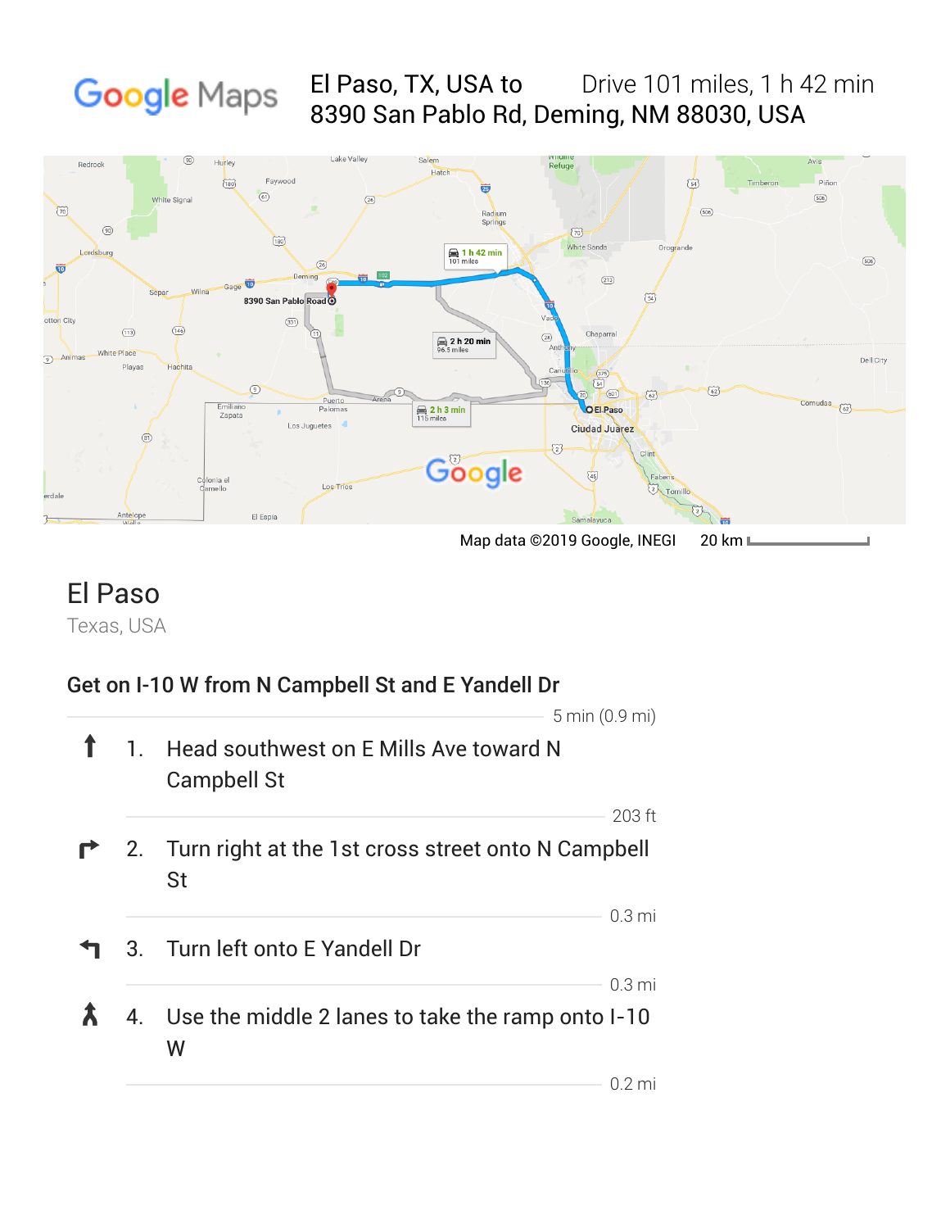#### El Paso, TX, USA to Drive 101 miles, 1 h 42 min Google Maps 8390 San Pablo Rd, Deming, NM 88030, USA



## Texas, USA El Paso

#### Get on I-10 W from N Campbell St and E Yandell Dr

|  |                                                                             | $5 \text{ min} (0.9 \text{ mi})$ |  |
|--|-----------------------------------------------------------------------------|----------------------------------|--|
|  | 1. Head southwest on E Mills Ave toward N<br><b>Campbell St</b>             |                                  |  |
|  |                                                                             | $203$ ft                         |  |
|  | <b>1</b> 2. Turn right at the 1st cross street onto N Campbell<br><b>St</b> |                                  |  |
|  |                                                                             | $0.3 \text{ mi}$                 |  |
|  | 3. Turn left onto E Yandell Dr                                              |                                  |  |
|  |                                                                             | 0.3 <sub>mi</sub>                |  |
|  | 4. Use the middle 2 lanes to take the ramp onto I-10<br>W                   |                                  |  |
|  |                                                                             | () 2 mi                          |  |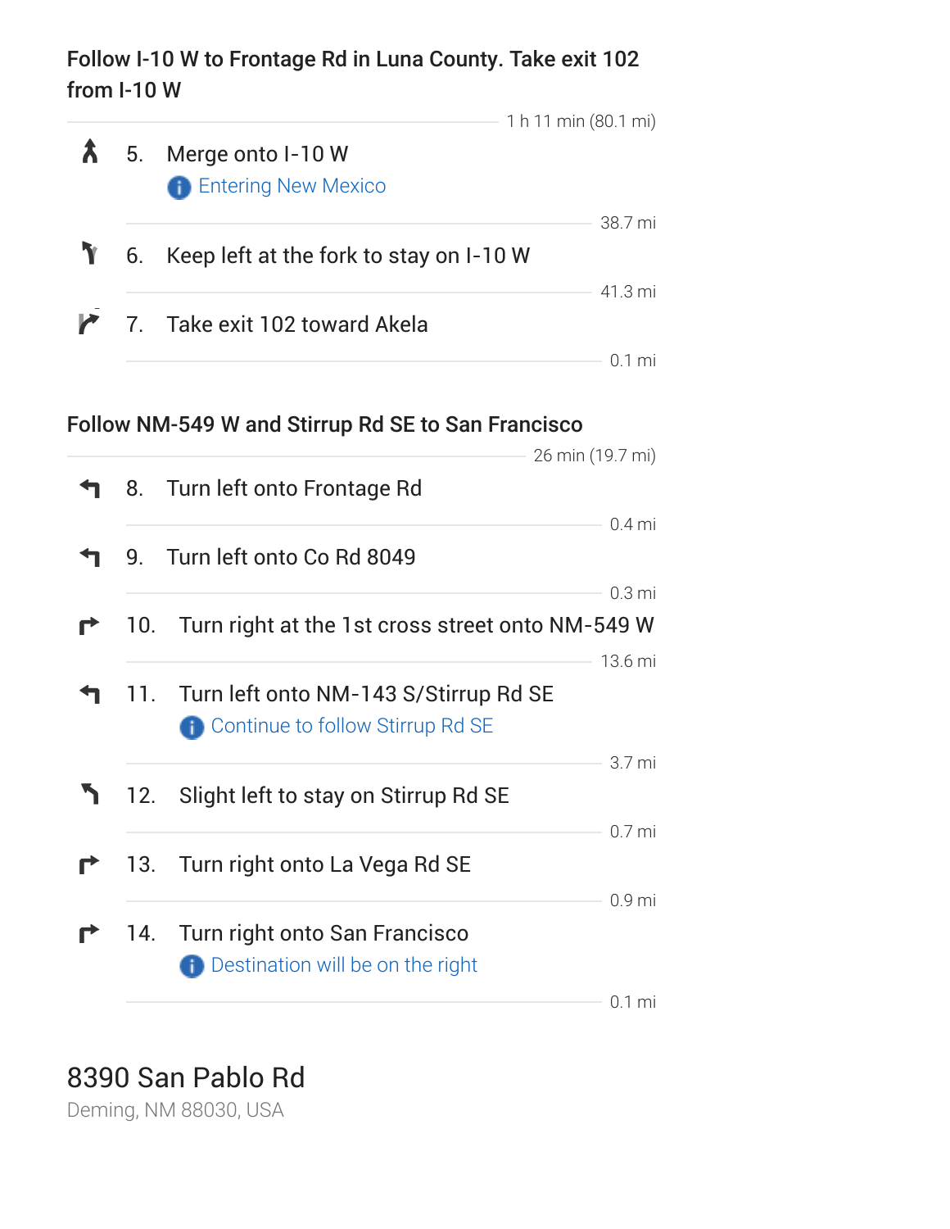### Follow I-10 W to Frontage Rd in Luna County. Take exit 102 from I-10 W

|   |                                                      | 1 h 11 min (80.1 mi) |
|---|------------------------------------------------------|----------------------|
| W | 5. Merge onto I-10 W<br><b>f</b> Entering New Mexico |                      |
|   | 6. Keep left at the fork to stay on I-10 W           | 38.7 mi              |
|   | 7. Take exit 102 toward Akela                        | 41.3 mi              |
|   |                                                      |                      |

#### Follow NM-549 W and Stirrup Rd SE to San Francisco

|     |                                                                                  | 26 min (19.7 mi)  |
|-----|----------------------------------------------------------------------------------|-------------------|
|     | 8. Turn left onto Frontage Rd                                                    |                   |
|     |                                                                                  | $0.4$ mi          |
| 9.  | Turn left onto Co Rd 8049                                                        |                   |
|     |                                                                                  | 0.3 <sub>mi</sub> |
| 10. | Turn right at the 1st cross street onto NM-549 W                                 |                   |
| 11. | Turn left onto NM-143 S/Stirrup Rd SE<br><b>Continue to follow Stirrup Rd SE</b> | 13.6 mi<br>3.7 mi |
| 12. | Slight left to stay on Stirrup Rd SE                                             | $0.7$ mi          |
| 13. | Turn right onto La Vega Rd SE                                                    |                   |
|     | 14. Turn right onto San Francisco<br><b>Destination will be on the right</b>     | 0.9 <sub>mi</sub> |
|     |                                                                                  | $0.1$ mi          |

# 8390 San Pablo Rd

Deming, NM 88030, USA